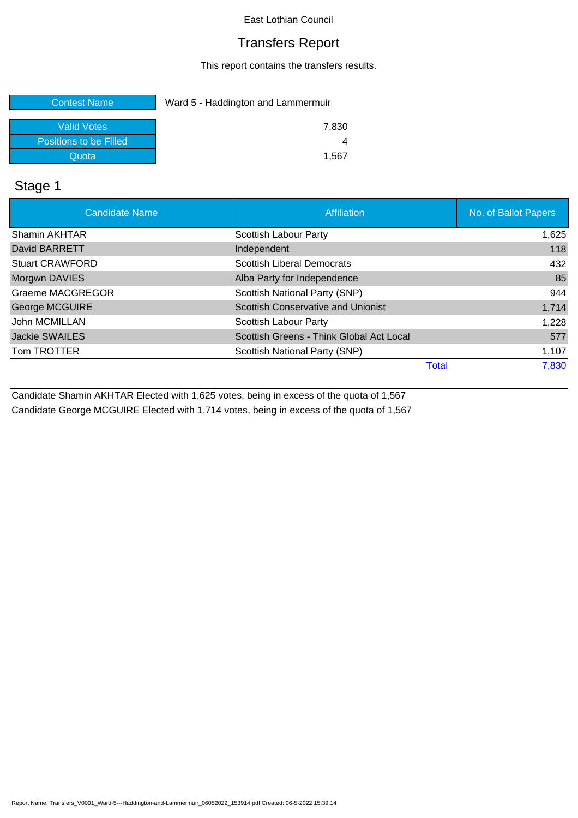#### Transfers Report

This report contains the transfers results.

| <b>Contest Name</b>    | Ward 5 - Haddington and Lammermuir |  |
|------------------------|------------------------------------|--|
| <b>Valid Votes</b>     | 7,830                              |  |
| Positions to be Filled |                                    |  |
| Quota                  | 1.567                              |  |

# Stage 1

| <b>Candidate Name</b>   | Affiliation                               | No. of Ballot Papers |
|-------------------------|-------------------------------------------|----------------------|
| Shamin AKHTAR           | Scottish Labour Party                     | 1,625                |
| David BARRETT           | Independent                               | 118                  |
| <b>Stuart CRAWFORD</b>  | <b>Scottish Liberal Democrats</b>         | 432                  |
| Morgwn DAVIES           | Alba Party for Independence               | 85                   |
| <b>Graeme MACGREGOR</b> | Scottish National Party (SNP)             | 944                  |
| George MCGUIRE          | <b>Scottish Conservative and Unionist</b> | 1,714                |
| John MCMILLAN           | <b>Scottish Labour Party</b>              | 1,228                |
| Jackie SWAILES          | Scottish Greens - Think Global Act Local  | 577                  |
| Tom TROTTER             | Scottish National Party (SNP)             | 1,107                |
|                         | <b>Total</b>                              | 7,830                |

Candidate Shamin AKHTAR Elected with 1,625 votes, being in excess of the quota of 1,567 Candidate George MCGUIRE Elected with 1,714 votes, being in excess of the quota of 1,567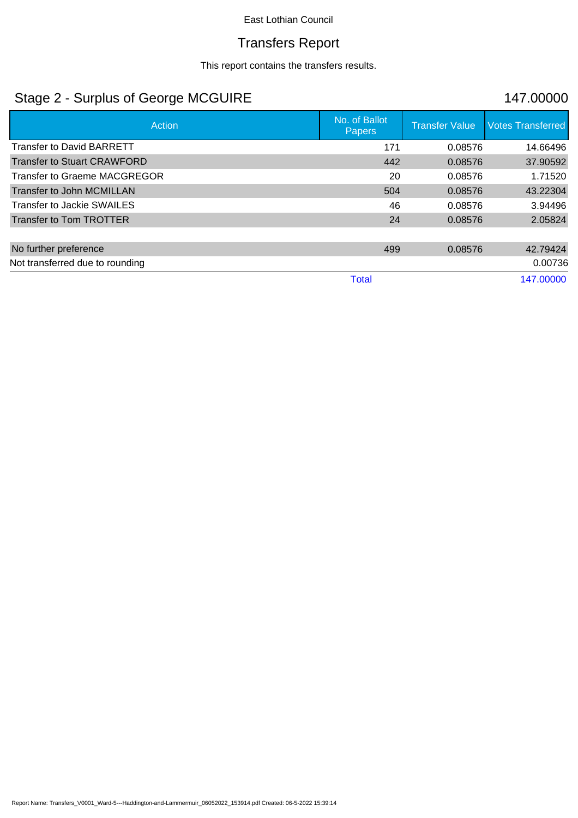### Transfers Report

This report contains the transfers results.

# Stage 2 - Surplus of George MCGUIRE 147.00000

| Action                             | No. of Ballot<br><b>Papers</b> | <b>Transfer Value</b> | <b>Votes Transferred</b> |
|------------------------------------|--------------------------------|-----------------------|--------------------------|
| <b>Transfer to David BARRETT</b>   | 171                            | 0.08576               | 14.66496                 |
| <b>Transfer to Stuart CRAWFORD</b> | 442                            | 0.08576               | 37.90592                 |
| Transfer to Graeme MACGREGOR       | 20                             | 0.08576               | 1.71520                  |
| Transfer to John MCMILLAN          | 504                            | 0.08576               | 43.22304                 |
| Transfer to Jackie SWAILES         | 46                             | 0.08576               | 3.94496                  |
| Transfer to Tom TROTTER            | 24                             | 0.08576               | 2.05824                  |
|                                    |                                |                       |                          |
| No further preference              | 499                            | 0.08576               | 42.79424                 |
| Not transferred due to rounding    |                                |                       | 0.00736                  |
|                                    | <b>Total</b>                   |                       | 147.00000                |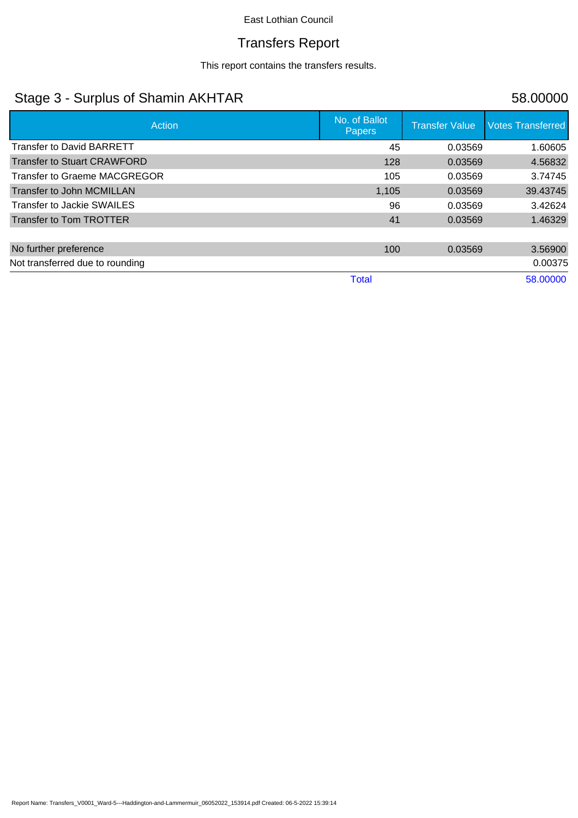# Transfers Report

This report contains the transfers results.

# Stage 3 - Surplus of Shamin AKHTAR 58.00000

| Action                             | No. of Ballot<br><b>Papers</b> | <b>Transfer Value</b> | <b>Votes Transferred</b> |
|------------------------------------|--------------------------------|-----------------------|--------------------------|
| <b>Transfer to David BARRETT</b>   | 45                             | 0.03569               | 1.60605                  |
| <b>Transfer to Stuart CRAWFORD</b> | 128                            | 0.03569               | 4.56832                  |
| Transfer to Graeme MACGREGOR       | 105                            | 0.03569               | 3.74745                  |
| Transfer to John MCMILLAN          | 1,105                          | 0.03569               | 39.43745                 |
| Transfer to Jackie SWAILES         | 96                             | 0.03569               | 3.42624                  |
| Transfer to Tom TROTTER            | 41                             | 0.03569               | 1.46329                  |
|                                    |                                |                       |                          |
| No further preference              | 100                            | 0.03569               | 3.56900                  |
| Not transferred due to rounding    |                                |                       | 0.00375                  |
|                                    | <b>Total</b>                   |                       | 58.00000                 |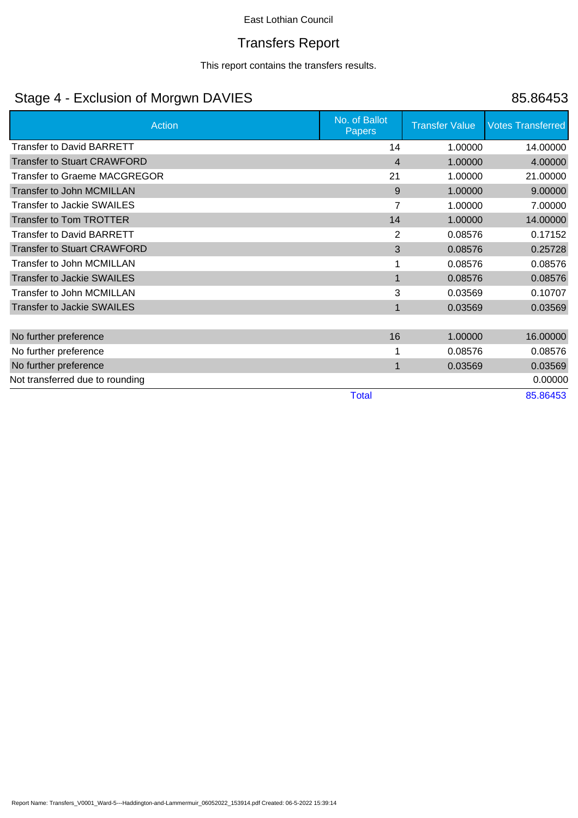### Transfers Report

This report contains the transfers results.

# Stage 4 - Exclusion of Morgwn DAVIES 85.86453

| <b>Action</b>                      | No. of Ballot<br><b>Papers</b> | <b>Transfer Value</b> | <b>Votes Transferred</b> |
|------------------------------------|--------------------------------|-----------------------|--------------------------|
| <b>Transfer to David BARRETT</b>   | 14                             | 1.00000               | 14.00000                 |
| <b>Transfer to Stuart CRAWFORD</b> | $\overline{4}$                 | 1.00000               | 4.00000                  |
| Transfer to Graeme MACGREGOR       | 21                             | 1.00000               | 21.00000                 |
| Transfer to John MCMILLAN          | 9                              | 1.00000               | 9.00000                  |
| <b>Transfer to Jackie SWAILES</b>  | $\overline{7}$                 | 1.00000               | 7.00000                  |
| <b>Transfer to Tom TROTTER</b>     | 14                             | 1.00000               | 14.00000                 |
| Transfer to David BARRETT          | 2                              | 0.08576               | 0.17152                  |
| <b>Transfer to Stuart CRAWFORD</b> | 3                              | 0.08576               | 0.25728                  |
| Transfer to John MCMILLAN          |                                | 0.08576               | 0.08576                  |
| <b>Transfer to Jackie SWAILES</b>  | 1                              | 0.08576               | 0.08576                  |
| Transfer to John MCMILLAN          | 3                              | 0.03569               | 0.10707                  |
| <b>Transfer to Jackie SWAILES</b>  | 1                              | 0.03569               | 0.03569                  |
|                                    |                                |                       |                          |
| No further preference              | 16                             | 1.00000               | 16.00000                 |
| No further preference              |                                | 0.08576               | 0.08576                  |
| No further preference              | 1                              | 0.03569               | 0.03569                  |
| Not transferred due to rounding    |                                |                       | 0.00000                  |
|                                    | <b>Total</b>                   |                       | 85.86453                 |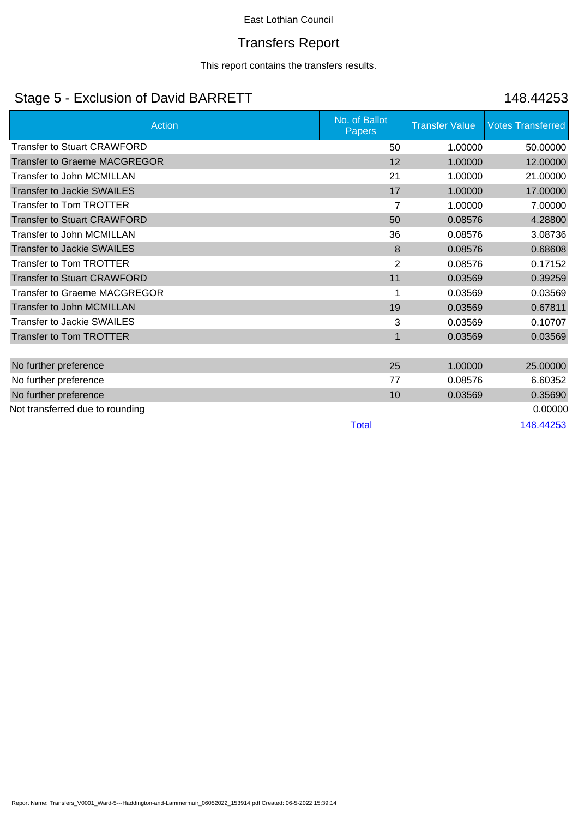### Transfers Report

This report contains the transfers results.

# Stage 5 - Exclusion of David BARRETT 148.44253

| <b>Action</b>                       | No. of Ballot<br>Papers | <b>Transfer Value</b> | <b>Votes Transferred</b> |
|-------------------------------------|-------------------------|-----------------------|--------------------------|
| <b>Transfer to Stuart CRAWFORD</b>  | 50                      | 1.00000               | 50.00000                 |
| <b>Transfer to Graeme MACGREGOR</b> | 12                      | 1.00000               | 12.00000                 |
| <b>Transfer to John MCMILLAN</b>    | 21                      | 1.00000               | 21.00000                 |
| <b>Transfer to Jackie SWAILES</b>   | 17                      | 1.00000               | 17.00000                 |
| <b>Transfer to Tom TROTTER</b>      | $\overline{7}$          | 1.00000               | 7.00000                  |
| <b>Transfer to Stuart CRAWFORD</b>  | 50                      | 0.08576               | 4.28800                  |
| Transfer to John MCMILLAN           | 36                      | 0.08576               | 3.08736                  |
| <b>Transfer to Jackie SWAILES</b>   | 8                       | 0.08576               | 0.68608                  |
| <b>Transfer to Tom TROTTER</b>      | 2                       | 0.08576               | 0.17152                  |
| <b>Transfer to Stuart CRAWFORD</b>  | 11                      | 0.03569               | 0.39259                  |
| <b>Transfer to Graeme MACGREGOR</b> |                         | 0.03569               | 0.03569                  |
| Transfer to John MCMILLAN           | 19                      | 0.03569               | 0.67811                  |
| <b>Transfer to Jackie SWAILES</b>   | 3                       | 0.03569               | 0.10707                  |
| <b>Transfer to Tom TROTTER</b>      | $\mathbf{1}$            | 0.03569               | 0.03569                  |
|                                     |                         |                       |                          |
| No further preference               | 25                      | 1.00000               | 25.00000                 |
| No further preference               | 77                      | 0.08576               | 6.60352                  |
| No further preference               | 10                      | 0.03569               | 0.35690                  |
| Not transferred due to rounding     |                         |                       | 0.00000                  |
|                                     | <b>Total</b>            |                       | 148.44253                |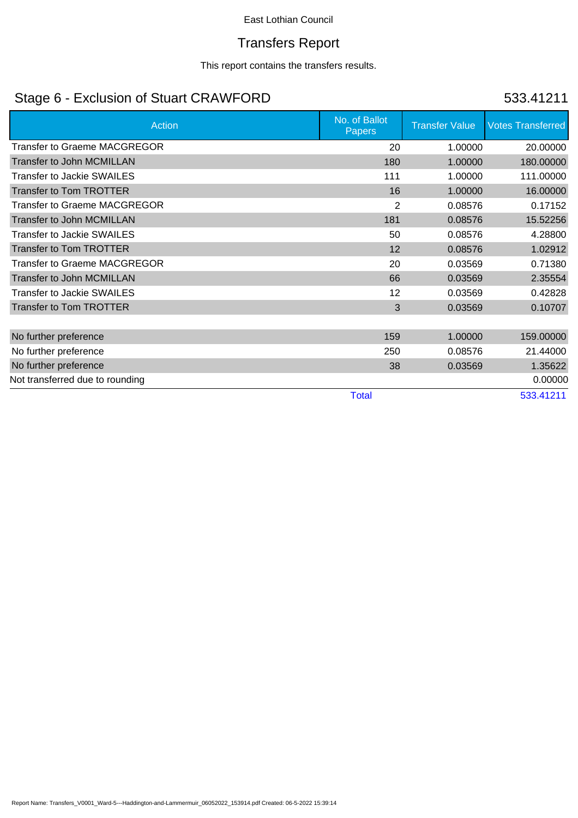### Transfers Report

This report contains the transfers results.

# Stage 6 - Exclusion of Stuart CRAWFORD 533.41211

| <b>Action</b>                       | No. of Ballot<br>Papers | <b>Transfer Value</b> | <b>Votes Transferred</b> |
|-------------------------------------|-------------------------|-----------------------|--------------------------|
| <b>Transfer to Graeme MACGREGOR</b> | 20                      | 1.00000               | 20.00000                 |
| Transfer to John MCMILLAN           | 180                     | 1.00000               | 180.00000                |
| <b>Transfer to Jackie SWAILES</b>   | 111                     | 1.00000               | 111.00000                |
| <b>Transfer to Tom TROTTER</b>      | 16                      | 1.00000               | 16.00000                 |
| <b>Transfer to Graeme MACGREGOR</b> | $\overline{2}$          | 0.08576               | 0.17152                  |
| Transfer to John MCMILLAN           | 181                     | 0.08576               | 15.52256                 |
| Transfer to Jackie SWAILES          | 50                      | 0.08576               | 4.28800                  |
| <b>Transfer to Tom TROTTER</b>      | 12                      | 0.08576               | 1.02912                  |
| <b>Transfer to Graeme MACGREGOR</b> | 20                      | 0.03569               | 0.71380                  |
| <b>Transfer to John MCMILLAN</b>    | 66                      | 0.03569               | 2.35554                  |
| <b>Transfer to Jackie SWAILES</b>   | 12                      | 0.03569               | 0.42828                  |
| <b>Transfer to Tom TROTTER</b>      | 3                       | 0.03569               | 0.10707                  |
|                                     |                         |                       |                          |
| No further preference               | 159                     | 1.00000               | 159.00000                |
| No further preference               | 250                     | 0.08576               | 21.44000                 |
| No further preference               | 38                      | 0.03569               | 1.35622                  |
| Not transferred due to rounding     |                         |                       | 0.00000                  |
|                                     | <b>Total</b>            |                       | 533.41211                |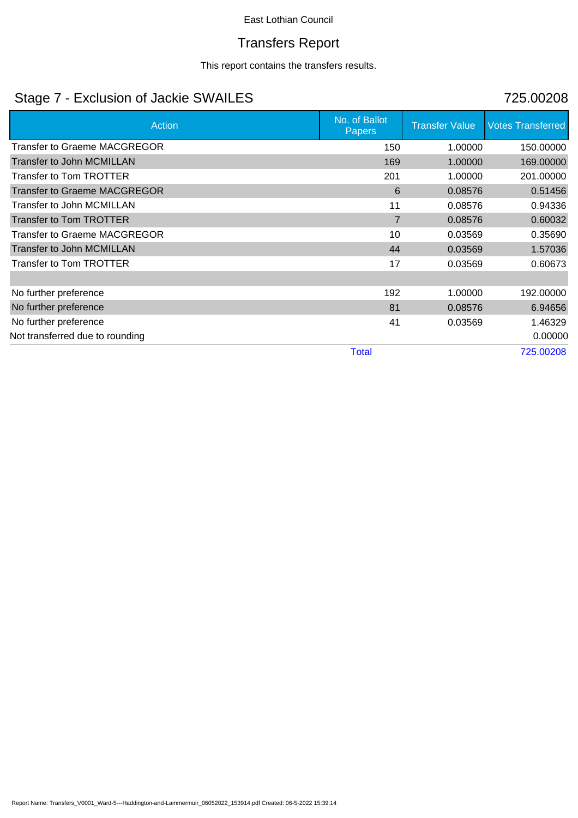### Transfers Report

This report contains the transfers results.

# Stage 7 - Exclusion of Jackie SWAILES 725.00208

| Action                              | No. of Ballot<br><b>Papers</b> | <b>Transfer Value</b> | <b>Votes Transferred</b> |
|-------------------------------------|--------------------------------|-----------------------|--------------------------|
| <b>Transfer to Graeme MACGREGOR</b> | 150                            | 1.00000               | 150.00000                |
| Transfer to John MCMILLAN           | 169                            | 1.00000               | 169.00000                |
| Transfer to Tom TROTTER             | 201                            | 1.00000               | 201.00000                |
| <b>Transfer to Graeme MACGREGOR</b> | 6                              | 0.08576               | 0.51456                  |
| Transfer to John MCMILLAN           | 11                             | 0.08576               | 0.94336                  |
| <b>Transfer to Tom TROTTER</b>      | $\overline{7}$                 | 0.08576               | 0.60032                  |
| <b>Transfer to Graeme MACGREGOR</b> | 10                             | 0.03569               | 0.35690                  |
| <b>Transfer to John MCMILLAN</b>    | 44                             | 0.03569               | 1.57036                  |
| Transfer to Tom TROTTER             | 17                             | 0.03569               | 0.60673                  |
|                                     |                                |                       |                          |
| No further preference               | 192                            | 1.00000               | 192.00000                |
| No further preference               | 81                             | 0.08576               | 6.94656                  |
| No further preference               | 41                             | 0.03569               | 1.46329                  |
| Not transferred due to rounding     |                                |                       | 0.00000                  |
|                                     | <b>Total</b>                   |                       | 725.00208                |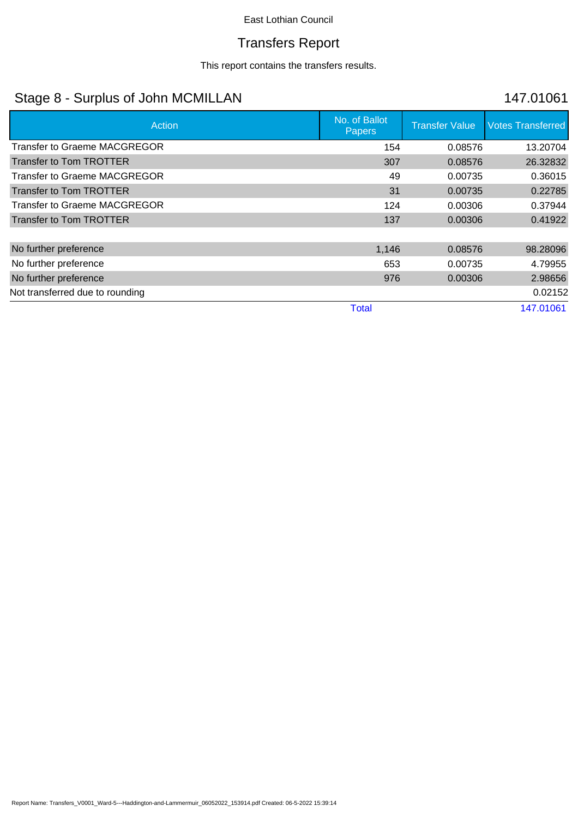### Transfers Report

This report contains the transfers results.

# Stage 8 - Surplus of John MCMILLAN 147.01061

| Action                              | No. of Ballot<br><b>Papers</b> | <b>Transfer Value</b> | <b>Votes Transferred</b> |
|-------------------------------------|--------------------------------|-----------------------|--------------------------|
| <b>Transfer to Graeme MACGREGOR</b> | 154                            | 0.08576               | 13.20704                 |
| <b>Transfer to Tom TROTTER</b>      | 307                            | 0.08576               | 26.32832                 |
| Transfer to Graeme MACGREGOR        | 49                             | 0.00735               | 0.36015                  |
| <b>Transfer to Tom TROTTER</b>      | 31                             | 0.00735               | 0.22785                  |
| Transfer to Graeme MACGREGOR        | 124                            | 0.00306               | 0.37944                  |
| <b>Transfer to Tom TROTTER</b>      | 137                            | 0.00306               | 0.41922                  |
|                                     |                                |                       |                          |
| No further preference               | 1,146                          | 0.08576               | 98.28096                 |
| No further preference               | 653                            | 0.00735               | 4.79955                  |
| No further preference               | 976                            | 0.00306               | 2.98656                  |
| Not transferred due to rounding     |                                |                       | 0.02152                  |
|                                     | <b>Total</b>                   |                       | 147.01061                |

Report Name: Transfers\_V0001\_Ward-5---Haddington-and-Lammermuir\_06052022\_153914.pdf Created: 06-5-2022 15:39:14